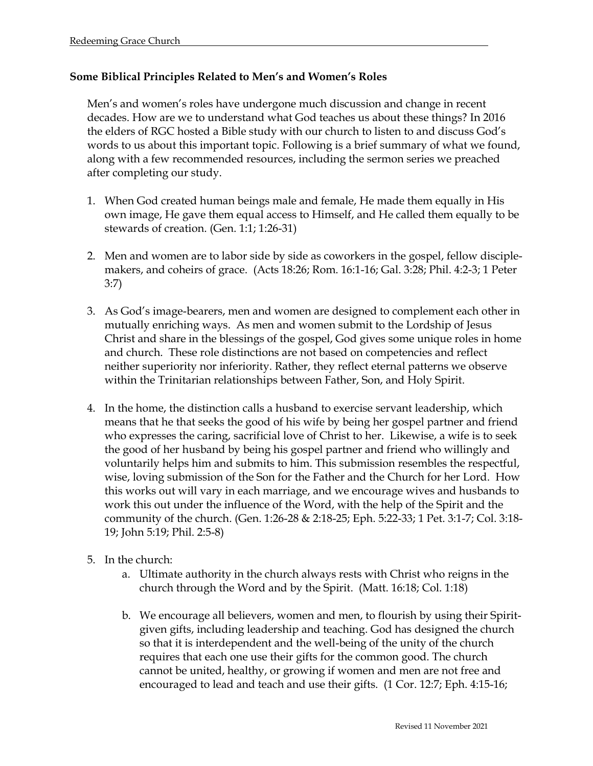## **Some Biblical Principles Related to Men's and Women's Roles**

Men's and women's roles have undergone much discussion and change in recent decades. How are we to understand what God teaches us about these things? In 2016 the elders of RGC hosted a Bible study with our church to listen to and discuss God's words to us about this important topic. Following is a brief summary of what we found, along with a few recommended resources, including the sermon series we preached after completing our study.

- 1. When God created human beings male and female, He made them equally in His own image, He gave them equal access to Himself, and He called them equally to be stewards of creation. (Gen. 1:1; 1:26-31)
- 2. Men and women are to labor side by side as coworkers in the gospel, fellow disciplemakers, and coheirs of grace. (Acts 18:26; Rom. 16:1-16; Gal. 3:28; Phil. 4:2-3; 1 Peter 3:7)
- 3. As God's image-bearers, men and women are designed to complement each other in mutually enriching ways. As men and women submit to the Lordship of Jesus Christ and share in the blessings of the gospel, God gives some unique roles in home and church. These role distinctions are not based on competencies and reflect neither superiority nor inferiority. Rather, they reflect eternal patterns we observe within the Trinitarian relationships between Father, Son, and Holy Spirit.
- 4. In the home, the distinction calls a husband to exercise servant leadership, which means that he that seeks the good of his wife by being her gospel partner and friend who expresses the caring, sacrificial love of Christ to her. Likewise, a wife is to seek the good of her husband by being his gospel partner and friend who willingly and voluntarily helps him and submits to him. This submission resembles the respectful, wise, loving submission of the Son for the Father and the Church for her Lord. How this works out will vary in each marriage, and we encourage wives and husbands to work this out under the influence of the Word, with the help of the Spirit and the community of the church. (Gen. 1:26-28 & 2:18-25; Eph. 5:22-33; 1 Pet. 3:1-7; Col. 3:18- 19; John 5:19; Phil. 2:5-8)
- 5. In the church:
	- a. Ultimate authority in the church always rests with Christ who reigns in the church through the Word and by the Spirit. (Matt. 16:18; Col. 1:18)
	- b. We encourage all believers, women and men, to flourish by using their Spiritgiven gifts, including leadership and teaching. God has designed the church so that it is interdependent and the well-being of the unity of the church requires that each one use their gifts for the common good. The church cannot be united, healthy, or growing if women and men are not free and encouraged to lead and teach and use their gifts. (1 Cor. 12:7; Eph. 4:15-16;